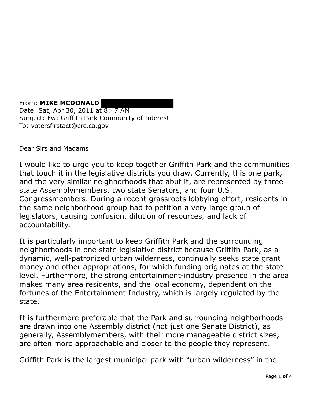From: **MIKE MCDONALD**  Date: Sat, Apr 30, 2011 at 8:47 AM Subject: Fw: Griffith Park Community of Interest To: votersfirstact@crc.ca.gov

Dear Sirs and Madams:

I would like to urge you to keep together Griffith Park and the communities that touch it in the legislative districts you draw. Currently, this one park, and the very similar neighborhoods that abut it, are represented by three state Assemblymembers, two state Senators, and four U.S. Congressmembers. During a recent grassroots lobbying effort, residents in the same neighborhood group had to petition a very large group of legislators, causing confusion, dilution of resources, and lack of accountability.

It is particularly important to keep Griffith Park and the surrounding neighborhoods in one state legislative district because Griffith Park, as a dynamic, well-patronized urban wilderness, continually seeks state grant money and other appropriations, for which funding originates at the state level. Furthermore, the strong entertainment-industry presence in the area makes many area residents, and the local economy, dependent on the fortunes of the Entertainment Industry, which is largely regulated by the state.

It is furthermore preferable that the Park and surrounding neighborhoods are drawn into one Assembly district (not just one Senate District), as generally, Assemblymembers, with their more manageable district sizes, are often more approachable and closer to the people they represent.

Griffith Park is the largest municipal park with "urban wilderness" in the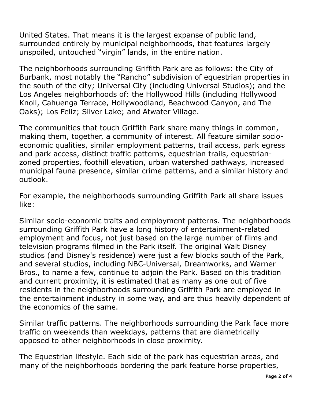United States. That means it is the largest expanse of public land, surrounded entirely by municipal neighborhoods, that features largely unspoiled, untouched "virgin" lands, in the entire nation.

 The neighborhoods surrounding Griffith Park are as follows: the City of Burbank, most notably the "Rancho" subdivision of equestrian properties in the south of the city; Universal City (including Universal Studios); and the Los Angeles neighborhoods of: the Hollywood Hills (including Hollywood Knoll, Cahuenga Terrace, Hollywoodland, Beachwood Canyon, and The Oaks); Los Feliz; Silver Lake; and Atwater Village.

 The communities that touch Griffith Park share many things in common, making them, together, a community of interest. All feature similar socio- economic qualities, similar employment patterns, trail access, park egress and park access, distinct traffic patterns, equestrian trails, equestrian- zoned properties, foothill elevation, urban watershed pathways, increased municipal fauna presence, similar crime patterns, and a similar history and outlook.

 For example, the neighborhoods surrounding Griffith Park all share issues like:

 Similar socio-economic traits and employment patterns. The neighborhoods surrounding Griffith Park have a long history of entertainment-related employment and focus, not just based on the large number of films and television programs filmed in the Park itself. The original Walt Disney studios (and Disney's residence) were just a few blocks south of the Park, and several studios, including NBC-Universal, Dreamworks, and Warner Bros., to name a few, continue to adjoin the Park. Based on this tradition and current proximity, it is estimated that as many as one out of five residents in the neighborhoods surrounding Griffith Park are employed in the entertainment industry in some way, and are thus heavily dependent of the economics of the same.

 Similar traffic patterns. The neighborhoods surrounding the Park face more opposed to other neighborhoods in close proximity. traffic on weekends than weekdays, patterns that are diametrically

 The Equestrian lifestyle. Each side of the park has equestrian areas, and many of the neighborhoods bordering the park feature horse properties,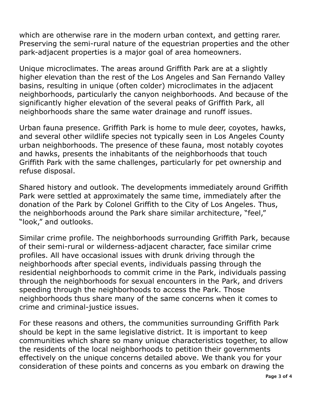which are otherwise rare in the modern urban context, and getting rarer. Preserving the semi-rural nature of the equestrian properties and the other park-adjacent properties is a major goal of area homeowners.

 Unique microclimates. The areas around Griffith Park are at a slightly higher elevation than the rest of the Los Angeles and San Fernando Valley basins, resulting in unique (often colder) microclimates in the adjacent neighborhoods, particularly the canyon neighborhoods. And because of the significantly higher elevation of the several peaks of Griffith Park, all neighborhoods share the same water drainage and runoff issues.

 Urban fauna presence. Griffith Park is home to mule deer, coyotes, hawks, and several other wildlife species not typically seen in Los Angeles County urban neighborhoods. The presence of these fauna, most notably coyotes and hawks, presents the inhabitants of the neighborhoods that touch Griffith Park with the same challenges, particularly for pet ownership and refuse disposal.

 Shared history and outlook. The developments immediately around Griffith Park were settled at approximately the same time, immediately after the donation of the Park by Colonel Griffith to the City of Los Angeles. Thus, the neighborhoods around the Park share similar architecture, "feel," "look," and outlooks.

 Similar crime profile. The neighborhoods surrounding Griffith Park, because of their semi-rural or wilderness-adjacent character, face similar crime profiles. All have occasional issues with drunk driving through the neighborhoods after special events, individuals passing through the residential neighborhoods to commit crime in the Park, individuals passing through the neighborhoods for sexual encounters in the Park, and drivers speeding through the neighborhoods to access the Park. Those neighborhoods thus share many of the same concerns when it comes to crime and criminal-justice issues.

 For these reasons and others, the communities surrounding Griffith Park should be kept in the same legislative district. It is important to keep communities which share so many unique characteristics together, to allow the residents of the local neighborhoods to petition their governments effectively on the unique concerns detailed above. We thank you for your consideration of these points and concerns as you embark on drawing the